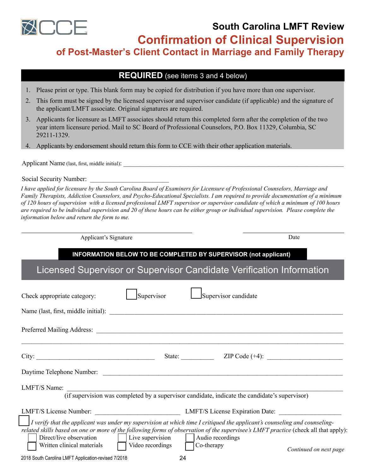

**South Carolina LMFT Review** 

**Confirmation of Clinical Supervision**

**of Post-Master's Client Contact in Marriage and Family Therapy**

## **REQUIRED** (see items 3 and 4 below)

- 1. Please print or type. This blank form may be copied for distribution if you have more than one supervisor.
- 2. This form must be signed by the licensed supervisor and supervisor candidate (if applicable) and the signature of the applicant/LMFT associate. Original signatures are required.
- 3. Applicants for licensure as LMFT associates should return this completed form after the completion of the two year intern licensure period. Mail to SC Board of Professional Counselors, P.O. Box 11329, Columbia, SC 29211-1329.
- 4. Applicants by endorsement should return this form to CCE with their other application materials.

Applicant Name (last, first, middle initial):

Social Security Number:

*I have applied for licensure by the South Carolina Board of Examiners for Licensure of Professional Counselors, Marriage and Family Therapists, Addiction Counselors, and Psycho-Educational Specialists. I am required to provide documentation of a minimum of 120 hours of supervision with a licensed professional LMFT supervisor or supervisor candidate of which a minimum of 100 hours are required to be individual supervision and 20 of these hours can be either group or individual supervision. Please complete the information below and return the form to me.* 

Applicant's Signature Date

### **INFORMATION BELOW TO BE COMPLETED BY SUPERVISOR (not applicant)**

Licensed Supervisor or Supervisor Candidate Verification Information

| Check appropriate category:                                                                                                                                                                         | Supervisor |                  | Supervisor candidate                                                                          |  |
|-----------------------------------------------------------------------------------------------------------------------------------------------------------------------------------------------------|------------|------------------|-----------------------------------------------------------------------------------------------|--|
|                                                                                                                                                                                                     |            |                  |                                                                                               |  |
|                                                                                                                                                                                                     |            |                  |                                                                                               |  |
| City:                                                                                                                                                                                               |            |                  | State: $ZIP Code (+4):$                                                                       |  |
|                                                                                                                                                                                                     |            |                  |                                                                                               |  |
| LMFT/S Name:                                                                                                                                                                                        |            |                  |                                                                                               |  |
|                                                                                                                                                                                                     |            |                  | (if supervision was completed by a supervisor candidate, indicate the candidate's supervisor) |  |
| LMFT/S License Number: LMFT/S License Expiration Date:<br>I verify that the applicant was under my supervision at which time I critiqued the applicant's counseling and counseling-                 |            |                  |                                                                                               |  |
| related skills based on one or more of the following forms of observation of the supervisee's LMFT practice (check all that apply):<br>Direct/live observation $\vert \cdot \vert$ Live supervision |            | Audio recordings |                                                                                               |  |
| Written clinical materials TVideo recordings TCo-therapy                                                                                                                                            |            |                  | Continued on next page                                                                        |  |
| 2018 South Carolina LMFT Application-revised 7/2018                                                                                                                                                 | 24         |                  |                                                                                               |  |